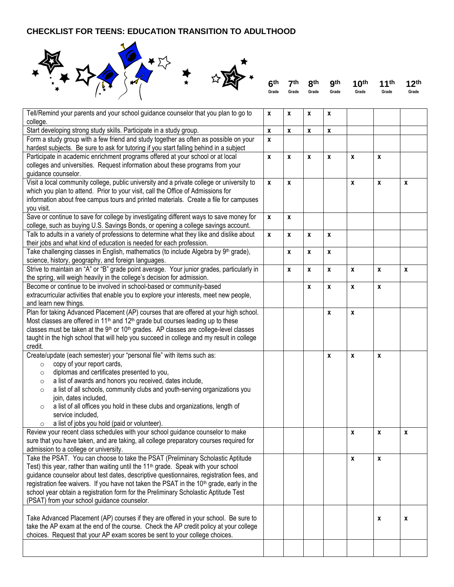## **CHECKLIST FOR TEENS: EDUCATION TRANSITION TO ADULTHOOD**



|  |                   |       | 6 <sup>th</sup> 7 <sup>th</sup> 8 <sup>th</sup> 9 <sup>th</sup> 10 <sup>th</sup> 11 <sup>th</sup> 12 <sup>th</sup> |       |       |
|--|-------------------|-------|--------------------------------------------------------------------------------------------------------------------|-------|-------|
|  | Grade Grade Grade | Grade | Grade                                                                                                              | Grade | Grade |

| Tell/Remind your parents and your school guidance counselor that you plan to go to                                                        | $\mathbf{x}$ | $\pmb{\chi}$ | $\boldsymbol{x}$ | $\pmb{\chi}$     |                    |                    |                  |
|-------------------------------------------------------------------------------------------------------------------------------------------|--------------|--------------|------------------|------------------|--------------------|--------------------|------------------|
| college.                                                                                                                                  |              |              |                  |                  |                    |                    |                  |
| Start developing strong study skills. Participate in a study group.                                                                       | $\pmb{\chi}$ | $\pmb{\chi}$ | $\pmb{\chi}$     | $\pmb{\chi}$     |                    |                    |                  |
| Form a study group with a few friend and study together as often as possible on your                                                      | X            |              |                  |                  |                    |                    |                  |
| hardest subjects. Be sure to ask for tutoring if you start falling behind in a subject                                                    |              |              |                  |                  |                    |                    |                  |
| Participate in academic enrichment programs offered at your school or at local                                                            | $\pmb{\chi}$ | $\pmb{\chi}$ | $\pmb{\chi}$     | $\pmb{\chi}$     | $\pmb{\mathsf{x}}$ | X                  |                  |
| colleges and universities. Request information about these programs from your                                                             |              |              |                  |                  |                    |                    |                  |
| guidance counselor.                                                                                                                       |              |              |                  |                  |                    |                    |                  |
| Visit a local community college, public university and a private college or university to                                                 | $\pmb{\chi}$ | $\pmb{\chi}$ |                  |                  | $\pmb{\mathsf{x}}$ | $\pmb{\mathsf{x}}$ | $\boldsymbol{x}$ |
| which you plan to attend. Prior to your visit, call the Office of Admissions for                                                          |              |              |                  |                  |                    |                    |                  |
| information about free campus tours and printed materials. Create a file for campuses                                                     |              |              |                  |                  |                    |                    |                  |
| you visit.                                                                                                                                |              |              |                  |                  |                    |                    |                  |
| Save or continue to save for college by investigating different ways to save money for                                                    | $\pmb{\chi}$ | $\pmb{\chi}$ |                  |                  |                    |                    |                  |
| college, such as buying U.S. Savings Bonds, or opening a college savings account.                                                         |              |              |                  |                  |                    |                    |                  |
| Talk to adults in a variety of professions to determine what they like and dislike about                                                  | $\mathbf{x}$ | $\mathbf{x}$ | $\mathbf{x}$     | $\pmb{\chi}$     |                    |                    |                  |
| their jobs and what kind of education is needed for each profession.                                                                      |              |              |                  |                  |                    |                    |                  |
| Take challenging classes in English, mathematics (to include Algebra by 9th grade),                                                       |              | X            | x                | $\pmb{\chi}$     |                    |                    |                  |
| science, history, geography, and foreign languages.                                                                                       |              |              |                  |                  |                    |                    |                  |
| Strive to maintain an "A" or "B" grade point average. Your junior grades, particularly in                                                 |              | X            | x                | X                | $\pmb{\mathsf{x}}$ | X                  | $\pmb{\chi}$     |
| the spring, will weigh heavily in the college's decision for admission.                                                                   |              |              |                  |                  |                    |                    |                  |
| Become or continue to be involved in school-based or community-based                                                                      |              |              | X                | x                | $\mathbf{x}$       | $\pmb{\chi}$       |                  |
| extracurricular activities that enable you to explore your interests, meet new people,                                                    |              |              |                  |                  |                    |                    |                  |
| and learn new things.                                                                                                                     |              |              |                  |                  |                    |                    |                  |
| Plan for taking Advanced Placement (AP) courses that are offered at your high school.                                                     |              |              |                  | $\pmb{\chi}$     | $\pmb{\chi}$       |                    |                  |
| Most classes are offered in 11 <sup>th</sup> and 12 <sup>th</sup> grade but courses leading up to these                                   |              |              |                  |                  |                    |                    |                  |
| classes must be taken at the 9 <sup>th</sup> or 10 <sup>th</sup> grades. AP classes are college-level classes                             |              |              |                  |                  |                    |                    |                  |
| taught in the high school that will help you succeed in college and my result in college                                                  |              |              |                  |                  |                    |                    |                  |
| credit.                                                                                                                                   |              |              |                  |                  |                    |                    |                  |
| Create/update (each semester) your "personal file" with items such as:                                                                    |              |              |                  | $\boldsymbol{x}$ | X                  | $\pmb{\chi}$       |                  |
| copy of your report cards,<br>$\circ$                                                                                                     |              |              |                  |                  |                    |                    |                  |
| diplomas and certificates presented to you,<br>$\circ$                                                                                    |              |              |                  |                  |                    |                    |                  |
| a list of awards and honors you received, dates include,<br>$\circ$                                                                       |              |              |                  |                  |                    |                    |                  |
| a list of all schools, community clubs and youth-serving organizations you<br>$\circ$                                                     |              |              |                  |                  |                    |                    |                  |
| join, dates included,                                                                                                                     |              |              |                  |                  |                    |                    |                  |
| a list of all offices you hold in these clubs and organizations, length of<br>$\circ$                                                     |              |              |                  |                  |                    |                    |                  |
| service included,                                                                                                                         |              |              |                  |                  |                    |                    |                  |
| a list of jobs you hold (paid or volunteer).<br>$\circ$<br>Review your recent class schedules with your school guidance counselor to make |              |              |                  |                  |                    |                    |                  |
|                                                                                                                                           |              |              |                  |                  | $\pmb{\chi}$       | X                  | $\boldsymbol{x}$ |
| sure that you have taken, and are taking, all college preparatory courses required for<br>admission to a college or university.           |              |              |                  |                  |                    |                    |                  |
| Take the PSAT. You can choose to take the PSAT (Preliminary Scholastic Aptitude                                                           |              |              |                  |                  | $\pmb{\chi}$       | X                  |                  |
| Test) this year, rather than waiting until the 11 <sup>th</sup> grade. Speak with your school                                             |              |              |                  |                  |                    |                    |                  |
| guidance counselor about test dates, descriptive questionnaires, registration fees, and                                                   |              |              |                  |                  |                    |                    |                  |
| registration fee waivers. If you have not taken the PSAT in the 10 <sup>th</sup> grade, early in the                                      |              |              |                  |                  |                    |                    |                  |
| school year obtain a registration form for the Preliminary Scholastic Aptitude Test                                                       |              |              |                  |                  |                    |                    |                  |
| (PSAT) from your school guidance counselor.                                                                                               |              |              |                  |                  |                    |                    |                  |
|                                                                                                                                           |              |              |                  |                  |                    |                    |                  |
| Take Advanced Placement (AP) courses if they are offered in your school. Be sure to                                                       |              |              |                  |                  |                    | $\boldsymbol{x}$   | X                |
| take the AP exam at the end of the course. Check the AP credit policy at your college                                                     |              |              |                  |                  |                    |                    |                  |
| choices. Request that your AP exam scores be sent to your college choices.                                                                |              |              |                  |                  |                    |                    |                  |
|                                                                                                                                           |              |              |                  |                  |                    |                    |                  |
|                                                                                                                                           |              |              |                  |                  |                    |                    |                  |